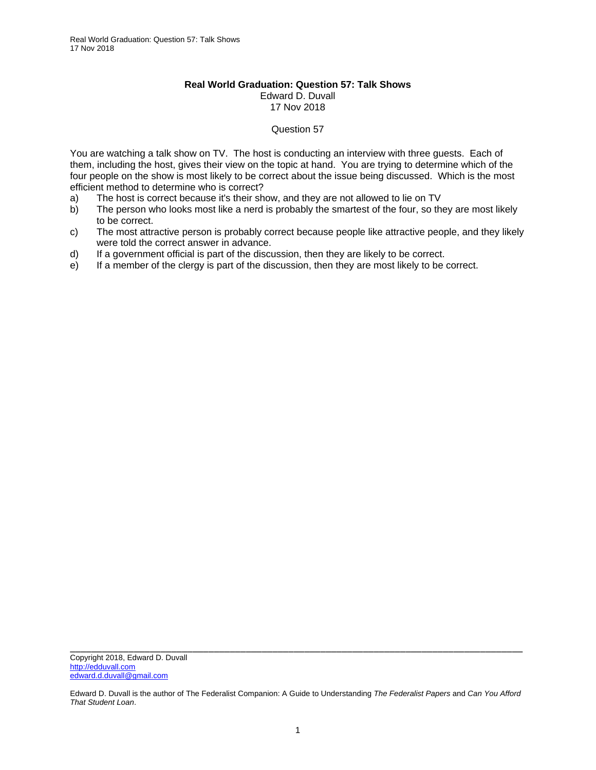## **Real World Graduation: Question 57: Talk Shows**  Edward D. Duvall 17 Nov 2018

## Question 57

You are watching a talk show on TV. The host is conducting an interview with three guests. Each of them, including the host, gives their view on the topic at hand. You are trying to determine which of the four people on the show is most likely to be correct about the issue being discussed. Which is the most efficient method to determine who is correct?

- a) The host is correct because it's their show, and they are not allowed to lie on TV
- b) The person who looks most like a nerd is probably the smartest of the four, so they are most likely to be correct.
- c) The most attractive person is probably correct because people like attractive people, and they likely were told the correct answer in advance.
- d) If a government official is part of the discussion, then they are likely to be correct.
- e) If a member of the clergy is part of the discussion, then they are most likely to be correct.

Edward D. Duvall is the author of The Federalist Companion: A Guide to Understanding *The Federalist Papers* and *Can You Afford That Student Loan*.